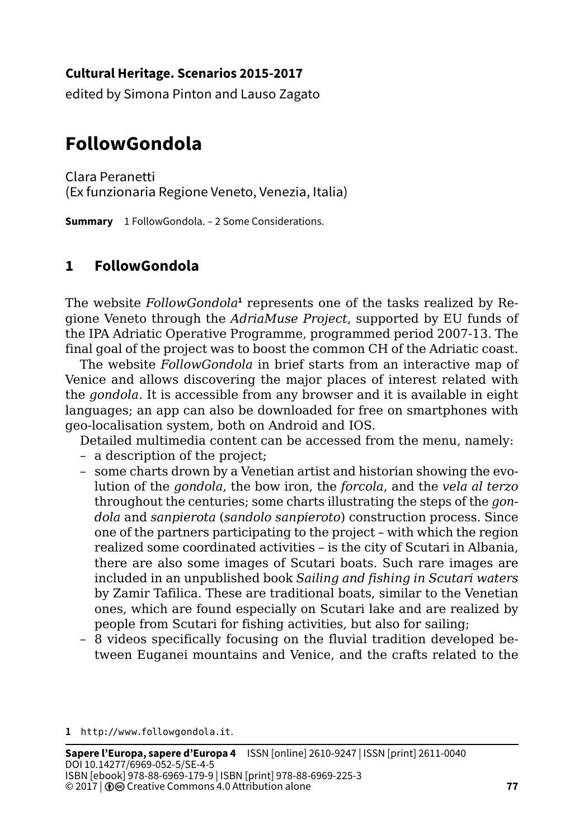### **Cultural Heritage. Scenarios 2015-2017**

edited by Simona Pinton and Lauso Zagato

# **FollowGondola**

Clara Peranetti (Ex funzionaria Regione Veneto, Venezia, Italia)

**Summary** 1 FollowGondola. – 2 Some Considerations.

## **1 FollowGondola**

The website FollowGondola<sup>1</sup> represents one of the tasks realized by Regione Veneto through the *AdriaMuse Project*, supported by EU funds of the IPA Adriatic Operative Programme, programmed period 2007-13. The final goal of the project was to boost the common CH of the Adriatic coast.

The website *FollowGondola* in brief starts from an interactive map of Venice and allows discovering the major places of interest related with the *gondola*. It is accessible from any browser and it is available in eight languages; an app can also be downloaded for free on smartphones with geo-localisation system, both on Android and IOS.

Detailed multimedia content can be accessed from the menu, namely:

- a description of the project;
- some charts drown by a Venetian artist and historian showing the evolution of the *gondola*, the bow iron, the *forcola*, and the *vela al terzo* throughout the centuries; some charts illustrating the steps of the *gondola* and *sanpierota* (*sandolo sanpieroto*) construction process. Since one of the partners participating to the project – with which the region realized some coordinated activities – is the city of Scutari in Albania, there are also some images of Scutari boats. Such rare images are included in an unpublished book *Sailing and fishing in Scutari waters* by Zamir Tafilica. These are traditional boats, similar to the Venetian ones, which are found especially on Scutari lake and are realized by people from Scutari for fishing activities, but also for sailing;
- 8 videos specifically focusing on the fluvial tradition developed between Euganei mountains and Venice, and the crafts related to the

**1** <http://www.followgondola.it>.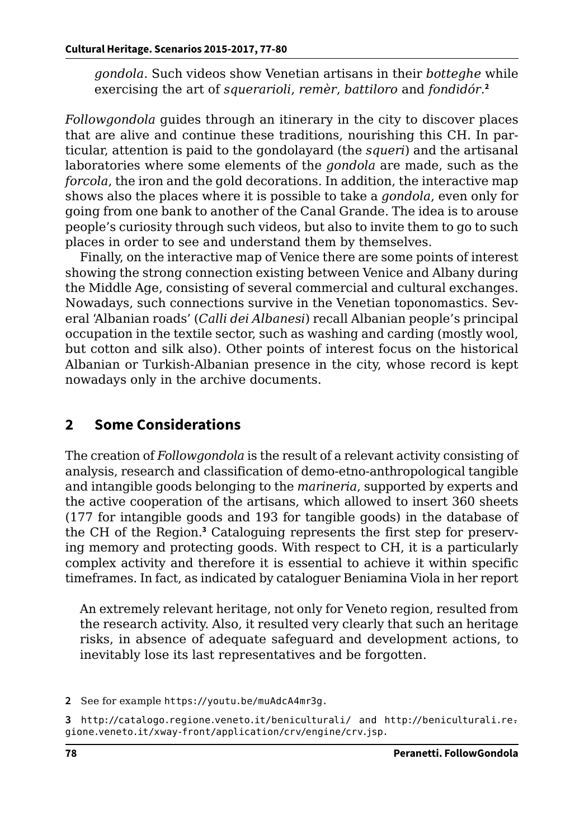*gondola*. Such videos show Venetian artisans in their *botteghe* while exercising the art of *squerarioli*, *remèr*, *battiloro* and *fondidór*. **2**

*Followgondola* guides through an itinerary in the city to discover places that are alive and continue these traditions, nourishing this CH. In particular, attention is paid to the gondolayard (the *squeri*) and the artisanal laboratories where some elements of the *gondola* are made, such as the *forcola*, the iron and the gold decorations. In addition, the interactive map shows also the places where it is possible to take a *gondola*, even only for going from one bank to another of the Canal Grande. The idea is to arouse people's curiosity through such videos, but also to invite them to go to such places in order to see and understand them by themselves.

Finally, on the interactive map of Venice there are some points of interest showing the strong connection existing between Venice and Albany during the Middle Age, consisting of several commercial and cultural exchanges. Nowadays, such connections survive in the Venetian toponomastics. Several 'Albanian roads' (*Calli dei Albanesi*) recall Albanian people's principal occupation in the textile sector, such as washing and carding (mostly wool, but cotton and silk also). Other points of interest focus on the historical Albanian or Turkish-Albanian presence in the city, whose record is kept nowadays only in the archive documents.

## **2 Some Considerations**

The creation of *Followgondola* is the result of a relevant activity consisting of analysis, research and classification of demo-etno-anthropological tangible and intangible goods belonging to the *marineria*, supported by experts and the active cooperation of the artisans, which allowed to insert 360 sheets (177 for intangible goods and 193 for tangible goods) in the database of the CH of the Region.**<sup>3</sup>** Cataloguing represents the first step for preserving memory and protecting goods. With respect to CH, it is a particularly complex activity and therefore it is essential to achieve it within specific timeframes. In fact, as indicated by cataloguer Beniamina Viola in her report

An extremely relevant heritage, not only for Veneto region, resulted from the research activity. Also, it resulted very clearly that such an heritage risks, in absence of adequate safeguard and development actions, to inevitably lose its last representatives and be forgotten.

**<sup>2</sup>** See for example <https://youtu.be/muAdcA4mr3g>.

**<sup>3</sup>** <http://catalogo.regione.veneto.it/beniculturali/> and [http://beniculturali.re-.](http://beniculturali.regione.veneto.it/xway-front/application/crv/engine/crv.jsp ) [gione.veneto.it/xway-front/application/crv/engine/crv.js](http://beniculturali.regione.veneto.it/xway-front/application/crv/engine/crv.jsp )p.